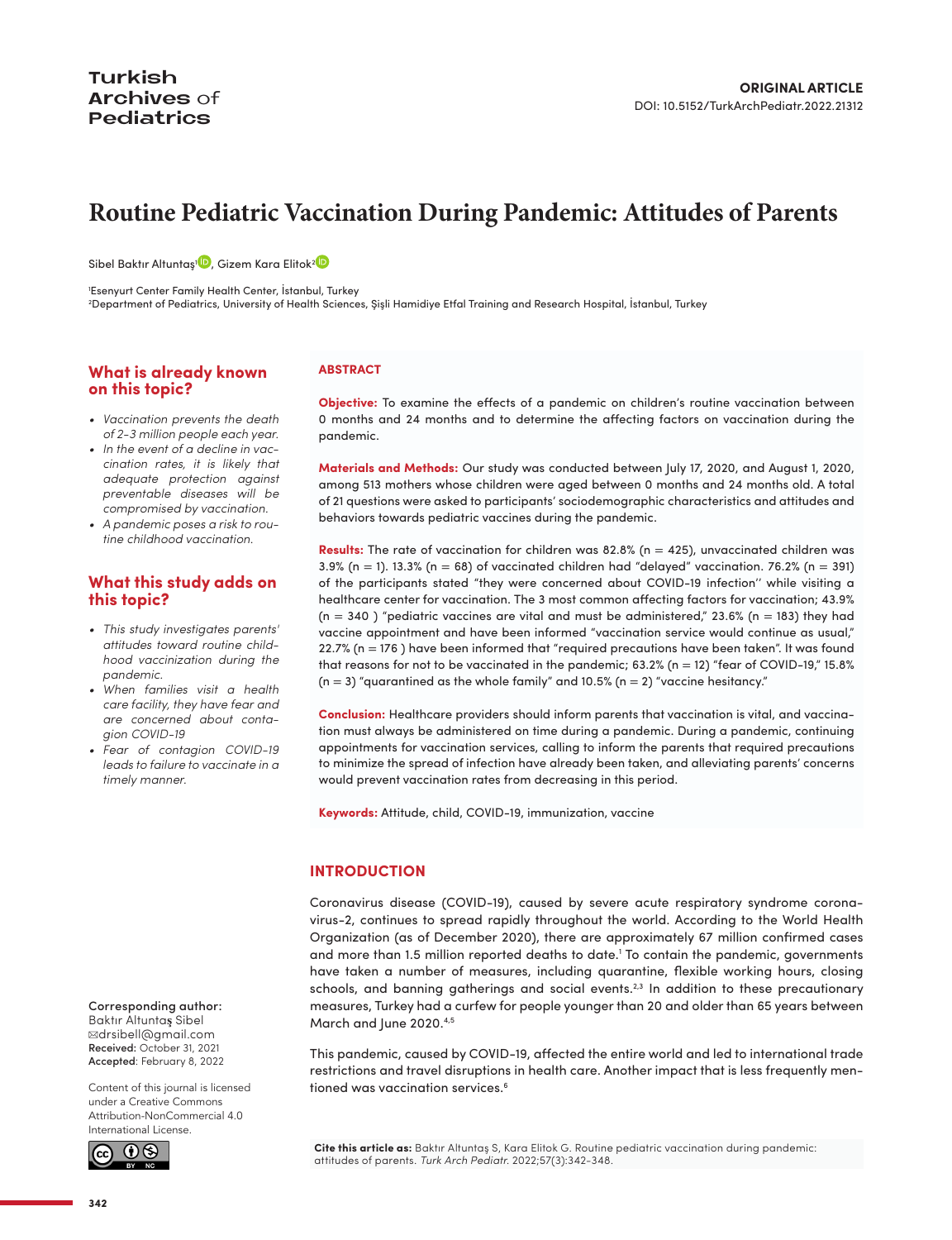# **Routine Pediatric Vaccination During Pandemic: Attitudes of Parents**

Sibel Baktır Altuntaş<sup>ı (D</sup>), Gizem Kara Elitok<sup>2 (D</sup>

1 Esenyurt Center Family Health Center, İstanbul, Turkey

2 Department of Pediatrics, University of Health Sciences, Şişli Hamidiye Etfal Training and Research Hospital, İstanbul, Turkey

## **What is already known on this topic?**

- *• Vaccination prevents the death of 2-3 million people each year.*
- *• In the event of a decline in vaccination rates, it is likely that adequate protection against preventable diseases will be compromised by vaccination.*
- *• A pandemic poses a risk to routine childhood vaccination.*

## **What this study adds on this topic?**

- *• This study investigates parents' attitudes toward routine childhood vaccinization during the pandemic.*
- *• When families visit a health care facility, they have fear and are concerned about contagion COVID-19*
- *• Fear of contagion COVID-19 leads to failure to vaccinate in a timely manner.*

#### Corresponding author:

Baktır Altunta**ş** Sibel ✉[drsibell@gmail.com](mailto:drsibell@gmail.com) Received: October 31, 2021 Accepted: February 8, 2022

Content of this journal is licensed under a [Creative Commons](https://creativecommons.org/licenses/by-nc/4.0/)  [Attribution-NonCommercial 4.0](https://creativecommons.org/licenses/by-nc/4.0/)  [International License.](https://creativecommons.org/licenses/by-nc/4.0/)



**ABSTRACT**

**Objective:** To examine the effects of a pandemic on children's routine vaccination between 0 months and 24 months and to determine the affecting factors on vaccination during the pandemic.

**Materials and Methods:** Our study was conducted between July 17, 2020, and August 1, 2020, among 513 mothers whose children were aged between 0 months and 24 months old. A total of 21 questions were asked to participants' sociodemographic characteristics and attitudes and behaviors towards pediatric vaccines during the pandemic.

**Results:** The rate of vaccination for children was 82.8% (n = 425), unvaccinated children was 3.9% (n = 1). 13.3% (n = 68) of vaccinated children had "delayed" vaccination. 76.2% (n = 391) of the participants stated "they were concerned about COVID-19 infection'' while visiting a healthcare center for vaccination. The 3 most common affecting factors for vaccination; 43.9%  $(n = 340)$  "pediatric vaccines are vital and must be administered," 23.6% (n = 183) they had vaccine appointment and have been informed "vaccination service would continue as usual," 22.7% (n = 176 ) have been informed that "required precautions have been taken". It was found that reasons for not to be vaccinated in the pandemic; 63.2% (n = 12) "fear of COVID-19," 15.8%  $(n = 3)$  "quarantined as the whole family" and 10.5%  $(n = 2)$  "vaccine hesitancy."

**Conclusion:** Healthcare providers should inform parents that vaccination is vital, and vaccination must always be administered on time during a pandemic. During a pandemic, continuing appointments for vaccination services, calling to inform the parents that required precautions to minimize the spread of infection have already been taken, and alleviating parents' concerns would prevent vaccination rates from decreasing in this period.

**Keywords:** Attitude, child, COVID-19, immunization, vaccine

## **INTRODUCTION**

Coronavirus disease (COVID-19), caused by severe acute respiratory syndrome coronavirus-2, continues to spread rapidly throughout the world. According to the World Health Organization (as of December 2020), there are approximately 67 million confirmed cases and more than 1.5 million reported deaths to date.<sup>1</sup> To contain the pandemic, governments have taken a number of measures, including quarantine, flexible working hours, closing schools, and banning gatherings and social events.<sup>2,3</sup> In addition to these precautionary measures, Turkey had a curfew for people younger than 20 and older than 65 years between March and June 2020.<sup>4[,5](#page-5-4)</sup>

This pandemic, caused by COVID-19, affected the entire world and led to international trade restrictions and travel disruptions in health care. Another impact that is less frequently mentioned was vaccination services[.6](#page-5-5)

**Cite this article as:** Baktır Altuntaş S, Kara Elitok G. Routine pediatric vaccination during pandemic: attitudes of parents. *Turk Arch Pediatr.* 2022;57(3):342-348.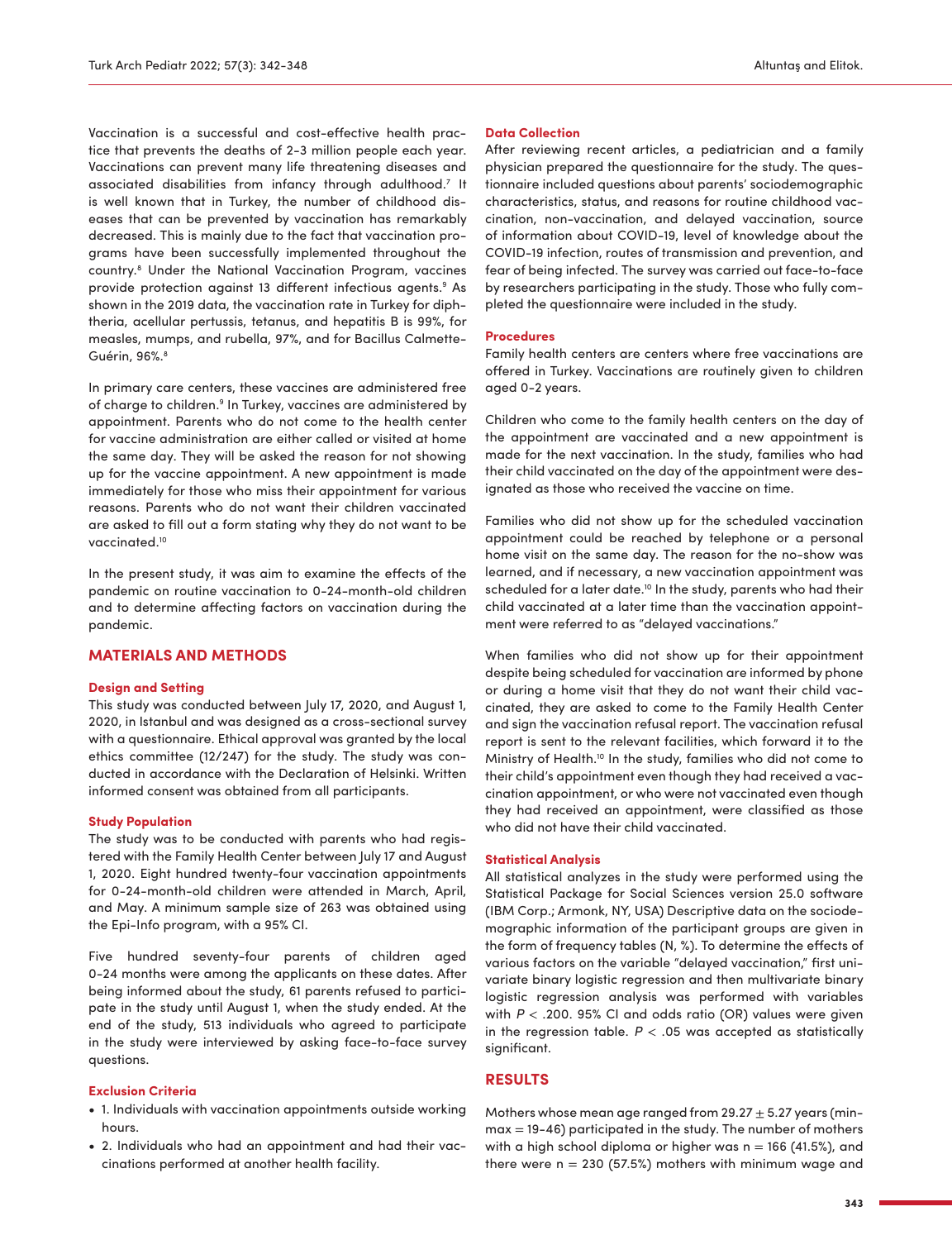Vaccination is a successful and cost-effective health practice that prevents the deaths of 2-3 million people each year. Vaccinations can prevent many life threatening diseases and associated disabilities from infancy through adulthood.<sup>[7](#page-5-6)</sup> It is well known that in Turkey, the number of childhood diseases that can be prevented by vaccination has remarkably decreased. This is mainly due to the fact that vaccination programs have been successfully implemented throughout the country.[8](#page-5-7) Under the National Vaccination Program, vaccines provide protection against 13 different infectious agents.<sup>9</sup> As shown in the 2019 data, the vaccination rate in Turkey for diphtheria, acellular pertussis, tetanus, and hepatitis B is 99%, for measles, mumps, and rubella, 97%, and for Bacillus Calmette-Guérin, 96%.<sup>[8](#page-5-7)</sup>

In primary care centers, these vaccines are administered free of charge to children.<sup>[9](#page-5-8)</sup> In Turkey, vaccines are administered by appointment. Parents who do not come to the health center for vaccine administration are either called or visited at home the same day. They will be asked the reason for not showing up for the vaccine appointment. A new appointment is made immediately for those who miss their appointment for various reasons. Parents who do not want their children vaccinated are asked to fill out a form stating why they do not want to be vaccinated[.10](#page-5-9)

In the present study, it was aim to examine the effects of the pandemic on routine vaccination to 0-24-month-old children and to determine affecting factors on vaccination during the pandemic.

## **MATERIALS AND METHODS**

#### **Design and Setting**

This study was conducted between July 17, 2020, and August 1, 2020, in Istanbul and was designed as a cross-sectional survey with a questionnaire. Ethical approval was granted by the local ethics committee (12/247) for the study. The study was conducted in accordance with the Declaration of Helsinki. Written informed consent was obtained from all participants.

#### **Study Population**

The study was to be conducted with parents who had registered with the Family Health Center between July 17 and August 1, 2020. Eight hundred twenty-four vaccination appointments for 0-24-month-old children were attended in March, April, and May. A minimum sample size of 263 was obtained using the Epi-Info program, with a 95% CI.

Five hundred seventy-four parents of children aged 0-24 months were among the applicants on these dates. After being informed about the study, 61 parents refused to participate in the study until August 1, when the study ended. At the end of the study, 513 individuals who agreed to participate in the study were interviewed by asking face-to-face survey questions.

#### **Exclusion Criteria**

- **•** 1. Individuals with vaccination appointments outside working hours.
- **•** 2. Individuals who had an appointment and had their vaccinations performed at another health facility.

#### **Data Collection**

After reviewing recent articles, a pediatrician and a family physician prepared the questionnaire for the study. The questionnaire included questions about parents' sociodemographic characteristics, status, and reasons for routine childhood vaccination, non-vaccination, and delayed vaccination, source of information about COVID-19, level of knowledge about the COVID-19 infection, routes of transmission and prevention, and fear of being infected. The survey was carried out face-to-face by researchers participating in the study. Those who fully completed the questionnaire were included in the study.

#### **Procedures**

Family health centers are centers where free vaccinations are offered in Turkey. Vaccinations are routinely given to children aged 0-2 years.

Children who come to the family health centers on the day of the appointment are vaccinated and a new appointment is made for the next vaccination. In the study, families who had their child vaccinated on the day of the appointment were designated as those who received the vaccine on time.

Families who did not show up for the scheduled vaccination appointment could be reached by telephone or a personal home visit on the same day. The reason for the no-show was learned, and if necessary, a new vaccination appointment was scheduled for a later date.<sup>[10](#page-5-9)</sup> In the study, parents who had their child vaccinated at a later time than the vaccination appointment were referred to as "delayed vaccinations."

When families who did not show up for their appointment despite being scheduled for vaccination are informed by phone or during a home visit that they do not want their child vaccinated, they are asked to come to the Family Health Center and sign the vaccination refusal report. The vaccination refusal report is sent to the relevant facilities, which forward it to the Ministry of Health[.10](#page-5-9) In the study, families who did not come to their child's appointment even though they had received a vaccination appointment, or who were not vaccinated even though they had received an appointment, were classified as those who did not have their child vaccinated.

#### **Statistical Analysis**

All statistical analyzes in the study were performed using the Statistical Package for Social Sciences version 25.0 software (IBM Corp.; Armonk, NY, USA) Descriptive data on the sociodemographic information of the participant groups are given in the form of frequency tables (N, %). To determine the effects of various factors on the variable "delayed vaccination," first univariate binary logistic regression and then multivariate binary logistic regression analysis was performed with variables with *P* < .200. 95% CI and odds ratio (OR) values were given in the regression table.  $P < .05$  was accepted as statistically significant.

## **RESULTS**

Mothers whose mean age ranged from  $29.27 \pm 5.27$  years (minmax = 19-46) participated in the study. The number of mothers with a high school diploma or higher was  $n = 166$  (41.5%), and there were  $n = 230$  (57.5%) mothers with minimum wage and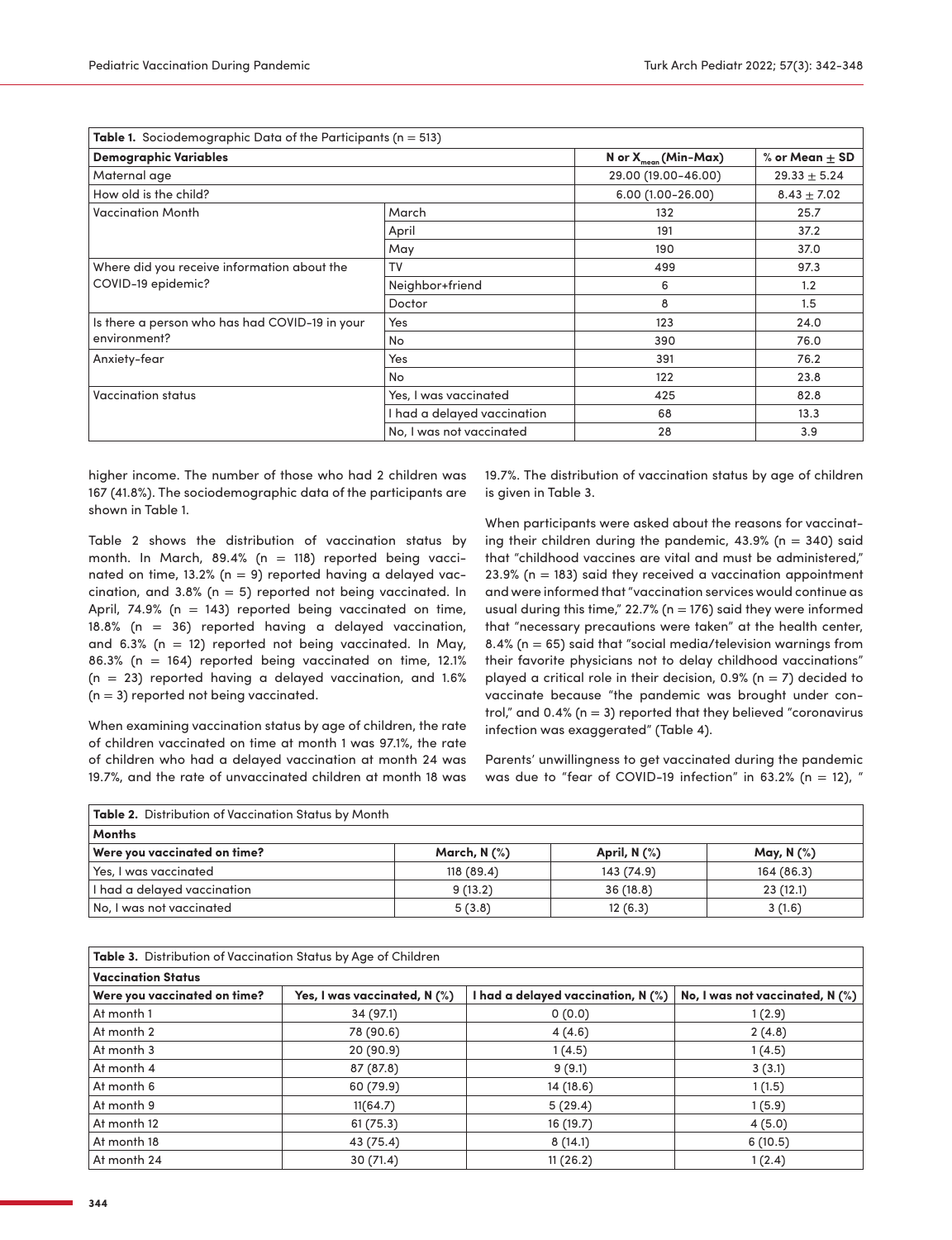| Table 1. Sociodemographic Data of the Participants ( $n = 513$ ) |                             |                          |                  |
|------------------------------------------------------------------|-----------------------------|--------------------------|------------------|
| <b>Demographic Variables</b>                                     |                             | N or $X_{mean}(Min-Max)$ | % or Mean + SD   |
| Maternal age                                                     |                             | 29.00 (19.00-46.00)      | $29.33 \pm 5.24$ |
| How old is the child?                                            |                             | $6.00(1.00 - 26.00)$     | $8.43 \pm 7.02$  |
| <b>Vaccination Month</b>                                         | March                       | 132                      | 25.7             |
|                                                                  | April                       | 191                      | 37.2             |
|                                                                  | May                         | 190                      | 37.0             |
| Where did you receive information about the                      | TV                          | 499                      | 97.3             |
| COVID-19 epidemic?                                               | Neighbor+friend             | 6                        | 1.2              |
|                                                                  | Doctor                      | 8                        | 1.5              |
| Is there a person who has had COVID-19 in your<br>environment?   | Yes                         | 123                      | 24.0             |
|                                                                  | No                          | 390                      | 76.0             |
| Anxiety-fear                                                     | Yes                         | 391                      | 76.2             |
|                                                                  | No                          | 122                      | 23.8             |
| Vaccination status                                               | Yes, I was vaccinated       | 425                      | 82.8             |
|                                                                  | I had a delayed vaccination | 68                       | 13.3             |
|                                                                  | No, I was not vaccinated    | 28                       | 3.9              |

higher income. The number of those who had 2 children was 167 (41.8%). The sociodemographic data of the participants are shown in Table 1.

Table 2 shows the distribution of vaccination status by month. In March, 89.4% ( $n = 118$ ) reported being vaccinated on time, 13.2% ( $n = 9$ ) reported having a delayed vaccination, and  $3.8\%$  (n = 5) reported not being vaccinated. In April, 74.9% ( $n = 143$ ) reported being vaccinated on time, 18.8% (n = 36) reported having a delayed vaccination, and 6.3% ( $n = 12$ ) reported not being vaccinated. In May, 86.3% (n = 164) reported being vaccinated on time, 12.1%  $(n = 23)$  reported having a delayed vaccination, and 1.6%  $(n = 3)$  reported not being vaccinated.

When examining vaccination status by age of children, the rate of children vaccinated on time at month 1 was 97.1%, the rate of children who had a delayed vaccination at month 24 was 19.7%, and the rate of unvaccinated children at month 18 was 19.7%. The distribution of vaccination status by age of children is given in Table 3.

When participants were asked about the reasons for vaccinating their children during the pandemic,  $43.9\%$  (n = 340) said that "childhood vaccines are vital and must be administered,"  $23.9%$  (n = 183) said they received a vaccination appointment and were informed that "vaccination services would continue as usual during this time,"  $22.7%$  (n = 176) said they were informed that "necessary precautions were taken" at the health center, 8.4% ( $n = 65$ ) said that "social media/television warnings from their favorite physicians not to delay childhood vaccinations" played a critical role in their decision, 0.9% ( $n = 7$ ) decided to vaccinate because "the pandemic was brought under control," and 0.4% ( $n = 3$ ) reported that they believed "coronavirus infection was exaggerated" ([Table 4\)](#page-3-0).

Parents' unwillingness to get vaccinated during the pandemic was due to "fear of COVID-19 infection" in 63.2% (n = 12), "

| Table 2. Distribution of Vaccination Status by Month |                 |                   |               |
|------------------------------------------------------|-----------------|-------------------|---------------|
| <b>Months</b>                                        |                 |                   |               |
| Were you vaccinated on time?                         | March, N $(\%)$ | April, $N$ $(\%)$ | May, N $(\%)$ |
| Yes, I was vaccinated                                | 118(89.4)       | 143 (74.9)        | 164 (86.3)    |
| I had a delayed vaccination                          | 9(13.2)         | 36(18.8)          | 23(12.1)      |
| No, I was not vaccinated                             | 5(3.8)          | 12(6.3)           | 3(1.6)        |

**Table 3.** Distribution of Vaccination Status by Age of Children

| <b>Vaccination Status</b>    |                              |                                    |                                 |
|------------------------------|------------------------------|------------------------------------|---------------------------------|
| Were you vaccinated on time? | Yes, I was vaccinated, N (%) | I had a delayed vaccination, N (%) | No, I was not vaccinated, N (%) |
| At month 1                   | 34(97.1)                     | 0(0.0)                             | 1(2.9)                          |
| At month 2                   | 78 (90.6)                    | 4(4.6)                             | 2(4.8)                          |
| At month 3                   | 20(90.9)                     | 1(4.5)                             | 1(4.5)                          |
| At month 4                   | 87 (87.8)                    | 9(9.1)                             | 3(3.1)                          |
| At month 6                   | 60 (79.9)                    | 14 (18.6)                          | 1(1.5)                          |
| At month 9                   | 11(64.7)                     | 5(29.4)                            | 1(5.9)                          |
| At month 12                  | 61(75.3)                     | 16 (19.7)                          | 4(5.0)                          |
| At month 18                  | 43 (75.4)                    | 8(14.1)                            | 6(10.5)                         |
| At month 24                  | 30(71.4)                     | 11(26.2)                           | 1(2.4)                          |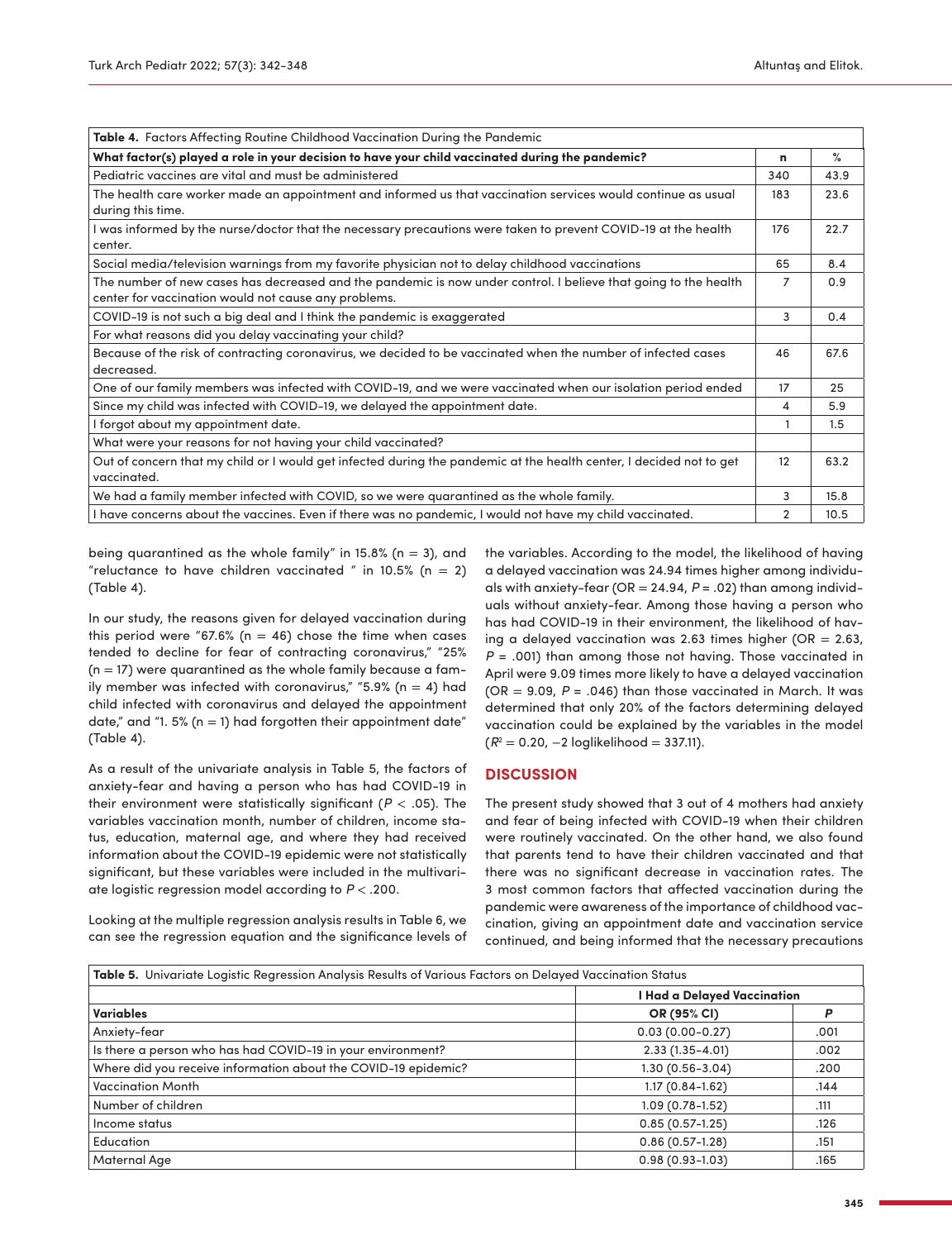<span id="page-3-0"></span>

| Table 4. Factors Affecting Routine Childhood Vaccination During the Pandemic                                        |                |               |
|---------------------------------------------------------------------------------------------------------------------|----------------|---------------|
| What factor(s) played a role in your decision to have your child vaccinated during the pandemic?                    | n              | $\frac{9}{6}$ |
| Pediatric vaccines are vital and must be administered                                                               | 340            | 43.9          |
| The health care worker made an appointment and informed us that vaccination services would continue as usual        | 183            | 23.6          |
| during this time.                                                                                                   |                |               |
| I was informed by the nurse/doctor that the necessary precautions were taken to prevent COVID-19 at the health      | 176            | 22.7          |
| center.                                                                                                             |                |               |
| Social media/television warnings from my favorite physician not to delay childhood vaccinations                     | 65             | 8.4           |
| The number of new cases has decreased and the pandemic is now under control. I believe that going to the health     | 7              | 0.9           |
| center for vaccination would not cause any problems.                                                                |                |               |
| COVID-19 is not such a big deal and I think the pandemic is exaggerated                                             | 3              | 0.4           |
| For what reasons did you delay vaccinating your child?                                                              |                |               |
| Because of the risk of contracting coronavirus, we decided to be vaccinated when the number of infected cases       | 46             | 67.6          |
| decreased.                                                                                                          |                |               |
| One of our family members was infected with COVID-19, and we were vaccinated when our isolation period ended        | 17             | 25            |
| Since my child was infected with COVID-19, we delayed the appointment date.                                         | 4              | 5.9           |
| I forgot about my appointment date.                                                                                 |                | 1.5           |
| What were your reasons for not having your child vaccinated?                                                        |                |               |
| Out of concern that my child or I would get infected during the pandemic at the health center, I decided not to get | 12             | 63.2          |
| vaccinated.                                                                                                         |                |               |
| We had a family member infected with COVID, so we were quarantined as the whole family.                             | 3              | 15.8          |
| I have concerns about the vaccines. Even if there was no pandemic, I would not have my child vaccinated.            | $\overline{2}$ | 10.5          |

being quarantined as the whole family" in 15.8% ( $n = 3$ ), and "reluctance to have children vaccinated " in 10.5% (n = 2) (Table 4).

In our study, the reasons given for delayed vaccination during this period were "67.6% ( $n = 46$ ) chose the time when cases tended to decline for fear of contracting coronavirus," "25%  $(n = 17)$  were quarantined as the whole family because a family member was infected with coronavirus," "5.9% ( $n = 4$ ) had child infected with coronavirus and delayed the appointment date," and "1. 5% ( $n = 1$ ) had forgotten their appointment date" (Table 4).

As a result of the univariate analysis in Table 5, the factors of anxiety-fear and having a person who has had COVID-19 in their environment were statistically significant (*P* < .05). The variables vaccination month, number of children, income status, education, maternal age, and where they had received information about the COVID-19 epidemic were not statistically significant, but these variables were included in the multivariate logistic regression model according to *P* < .200.

Looking at the multiple regression analysis results in [Table 6,](#page-4-0) we can see the regression equation and the significance levels of the variables. According to the model, the likelihood of having a delayed vaccination was 24.94 times higher among individuals with anxiety-fear (OR = 24.94, *P* = .02) than among individuals without anxiety-fear. Among those having a person who has had COVID-19 in their environment, the likelihood of having a delayed vaccination was 2.63 times higher (OR  $= 2.63$ , *P* = .001) than among those not having. Those vaccinated in April were 9.09 times more likely to have a delayed vaccination (OR  $= 9.09$ ,  $P = .046$ ) than those vaccinated in March. It was determined that only 20% of the factors determining delayed vaccination could be explained by the variables in the model (*R*[2](#page-5-1) = 0.20, −2 loglikelihood = 337.11).

## **DISCUSSION**

The present study showed that 3 out of 4 mothers had anxiety and fear of being infected with COVID-19 when their children were routinely vaccinated. On the other hand, we also found that parents tend to have their children vaccinated and that there was no significant decrease in vaccination rates. The 3 most common factors that affected vaccination during the pandemic were awareness of the importance of childhood vaccination, giving an appointment date and vaccination service continued, and being informed that the necessary precautions

| Table 5. Univariate Logistic Regression Analysis Results of Various Factors on Delayed Vaccination Status |                             |      |  |
|-----------------------------------------------------------------------------------------------------------|-----------------------------|------|--|
|                                                                                                           | I Had a Delayed Vaccination |      |  |
| <b>Variables</b>                                                                                          | OR (95% CI)                 | P    |  |
| Anxiety-fear                                                                                              | $0.03(0.00 - 0.27)$         | .001 |  |
| Is there a person who has had COVID-19 in your environment?                                               | $2.33(1.35 - 4.01)$         | .002 |  |
| Where did you receive information about the COVID-19 epidemic?                                            | $1.30(0.56 - 3.04)$         | .200 |  |
| <b>Vaccination Month</b>                                                                                  | $1.17(0.84 - 1.62)$         | .144 |  |
| Number of children                                                                                        | $1.09(0.78 - 1.52)$         | .111 |  |
| Income status                                                                                             | $0.85(0.57-1.25)$           | .126 |  |
| Education                                                                                                 | $0.86(0.57-1.28)$           | .151 |  |
| Maternal Age                                                                                              | $0.98(0.93 - 1.03)$         | .165 |  |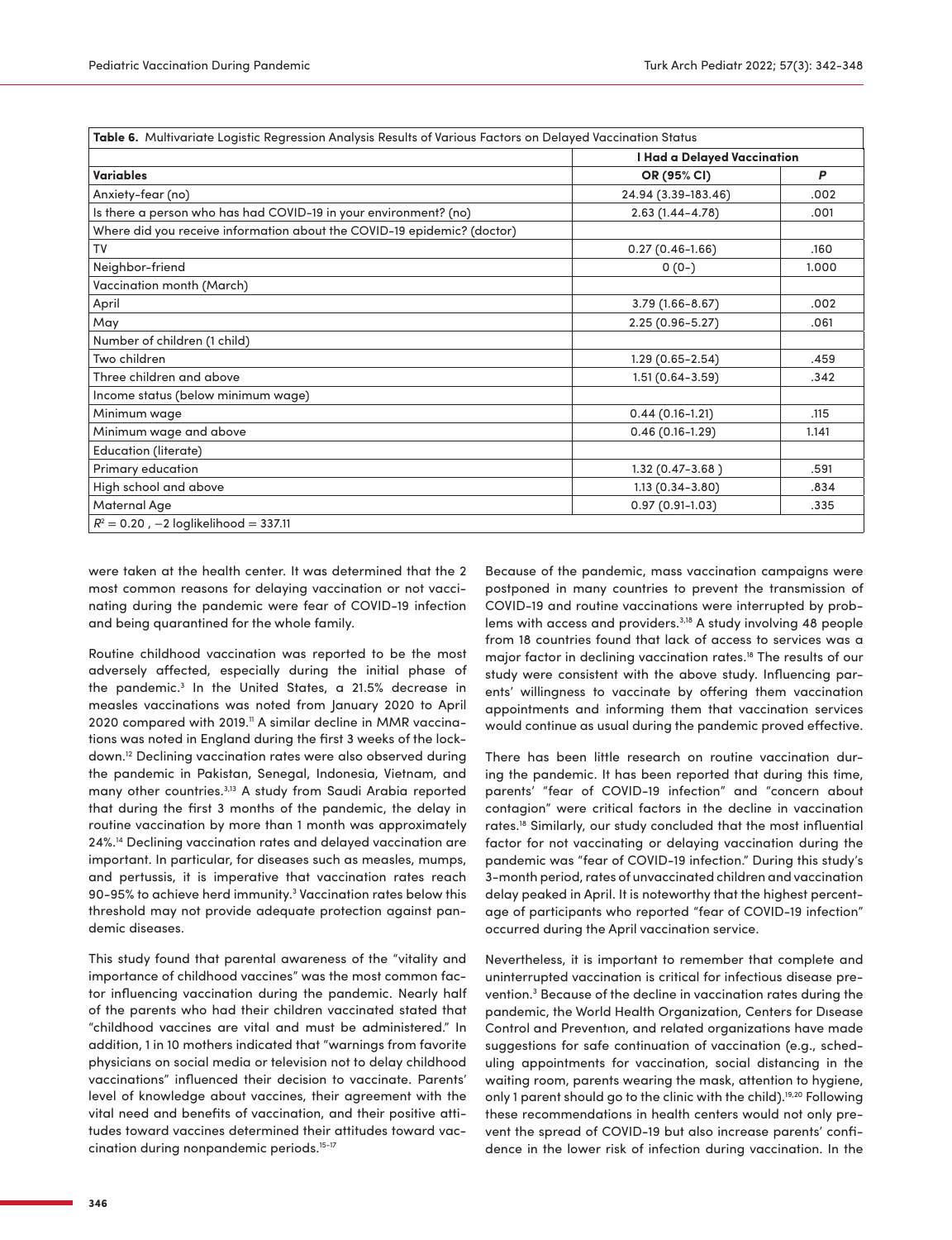<span id="page-4-0"></span>

| Variables<br>OR (95% CI)<br>P<br>24.94 (3.39-183.46)<br>Anxiety-fear (no)<br>.002<br>Is there a person who has had COVID-19 in your environment? (no)<br>$2.63(1.44 - 4.78)$<br>.001<br>Where did you receive information about the COVID-19 epidemic? (doctor)<br><b>TV</b><br>$0.27(0.46 - 1.66)$<br>.160<br>Neighbor-friend<br>$0(0-)$<br>1.000<br>Vaccination month (March)<br>April<br>$3.79(1.66 - 8.67)$<br>.002<br>May<br>$2.25(0.96 - 5.27)$<br>.061<br>Number of children (1 child)<br>Two children<br>$1.29(0.65 - 2.54)$<br>.459<br>Three children and above<br>$1.51(0.64 - 3.59)$<br>.342<br>Income status (below minimum wage)<br>Minimum wage<br>$0.44(0.16 - 1.21)$<br>.115<br>Minimum wage and above<br>$0.46(0.16 - 1.29)$<br>1.141<br><b>Education (literate)</b><br>Primary education<br>$1.32(0.47 - 3.68)$<br>.591<br>High school and above<br>$1.13(0.34 - 3.80)$<br>.834<br>$0.97(0.91-1.03)$<br>Maternal Age<br>.335 | I Had a Delayed Vaccination |  |
|------------------------------------------------------------------------------------------------------------------------------------------------------------------------------------------------------------------------------------------------------------------------------------------------------------------------------------------------------------------------------------------------------------------------------------------------------------------------------------------------------------------------------------------------------------------------------------------------------------------------------------------------------------------------------------------------------------------------------------------------------------------------------------------------------------------------------------------------------------------------------------------------------------------------------------------------|-----------------------------|--|
|                                                                                                                                                                                                                                                                                                                                                                                                                                                                                                                                                                                                                                                                                                                                                                                                                                                                                                                                                |                             |  |
|                                                                                                                                                                                                                                                                                                                                                                                                                                                                                                                                                                                                                                                                                                                                                                                                                                                                                                                                                |                             |  |
|                                                                                                                                                                                                                                                                                                                                                                                                                                                                                                                                                                                                                                                                                                                                                                                                                                                                                                                                                |                             |  |
|                                                                                                                                                                                                                                                                                                                                                                                                                                                                                                                                                                                                                                                                                                                                                                                                                                                                                                                                                |                             |  |
|                                                                                                                                                                                                                                                                                                                                                                                                                                                                                                                                                                                                                                                                                                                                                                                                                                                                                                                                                |                             |  |
|                                                                                                                                                                                                                                                                                                                                                                                                                                                                                                                                                                                                                                                                                                                                                                                                                                                                                                                                                |                             |  |
|                                                                                                                                                                                                                                                                                                                                                                                                                                                                                                                                                                                                                                                                                                                                                                                                                                                                                                                                                |                             |  |
|                                                                                                                                                                                                                                                                                                                                                                                                                                                                                                                                                                                                                                                                                                                                                                                                                                                                                                                                                |                             |  |
|                                                                                                                                                                                                                                                                                                                                                                                                                                                                                                                                                                                                                                                                                                                                                                                                                                                                                                                                                |                             |  |
|                                                                                                                                                                                                                                                                                                                                                                                                                                                                                                                                                                                                                                                                                                                                                                                                                                                                                                                                                |                             |  |
|                                                                                                                                                                                                                                                                                                                                                                                                                                                                                                                                                                                                                                                                                                                                                                                                                                                                                                                                                |                             |  |
|                                                                                                                                                                                                                                                                                                                                                                                                                                                                                                                                                                                                                                                                                                                                                                                                                                                                                                                                                |                             |  |
|                                                                                                                                                                                                                                                                                                                                                                                                                                                                                                                                                                                                                                                                                                                                                                                                                                                                                                                                                |                             |  |
|                                                                                                                                                                                                                                                                                                                                                                                                                                                                                                                                                                                                                                                                                                                                                                                                                                                                                                                                                |                             |  |
|                                                                                                                                                                                                                                                                                                                                                                                                                                                                                                                                                                                                                                                                                                                                                                                                                                                                                                                                                |                             |  |
|                                                                                                                                                                                                                                                                                                                                                                                                                                                                                                                                                                                                                                                                                                                                                                                                                                                                                                                                                |                             |  |
|                                                                                                                                                                                                                                                                                                                                                                                                                                                                                                                                                                                                                                                                                                                                                                                                                                                                                                                                                |                             |  |
|                                                                                                                                                                                                                                                                                                                                                                                                                                                                                                                                                                                                                                                                                                                                                                                                                                                                                                                                                |                             |  |
|                                                                                                                                                                                                                                                                                                                                                                                                                                                                                                                                                                                                                                                                                                                                                                                                                                                                                                                                                |                             |  |

were taken at the health center. It was determined that the 2 most common reasons for delaying vaccination or not vaccinating during the pandemic were fear of COVID-19 infection and being quarantined for the whole family.

Routine childhood vaccination was reported to be the most adversely affected, especially during the initial phase of the pandemic.[3](#page-5-2) In the United States, a 21.5% decrease in measles vaccinations was noted from January 2020 to April 2020 compared with 2019.<sup>11</sup> A similar decline in MMR vaccinations was noted in England during the first 3 weeks of the lockdown.[12](#page-5-11) Declining vaccination rates were also observed during the pandemic in Pakistan, Senegal, Indonesia, Vietnam, and many other countries.<sup>3[,13](#page-5-12)</sup> A study from Saudi Arabia reported that during the first 3 months of the pandemic, the delay in routine vaccination by more than 1 month was approximately 24%[.14](#page-5-13) Declining vaccination rates and delayed vaccination are important. In particular, for diseases such as measles, mumps, and pertussis, it is imperative that vaccination rates reach 90-95% to achieve herd immunity[.3](#page-5-2) Vaccination rates below this threshold may not provide adequate protection against pandemic diseases.

This study found that parental awareness of the "vitality and importance of childhood vaccines" was the most common factor influencing vaccination during the pandemic. Nearly half of the parents who had their children vaccinated stated that "childhood vaccines are vital and must be administered." In addition, 1 in 10 mothers indicated that "warnings from favorite physicians on social media or television not to delay childhood vaccinations" influenced their decision to vaccinate. Parents' level of knowledge about vaccines, their agreement with the vital need and benefits of vaccination, and their positive attitudes toward vaccines determined their attitudes toward vaccination during nonpandemic periods.[15](#page-5-14)[-17](#page-6-0)

Because of the pandemic, mass vaccination campaigns were postponed in many countries to prevent the transmission of COVID-19 and routine vaccinations were interrupted by problems with access and providers[.3,](#page-5-2)[18](#page-6-1) A study involving 48 people from 18 countries found that lack of access to services was a major factor in declining vaccination rates[.18](#page-6-1) The results of our study were consistent with the above study. Influencing parents' willingness to vaccinate by offering them vaccination appointments and informing them that vaccination services would continue as usual during the pandemic proved effective.

There has been little research on routine vaccination during the pandemic. It has been reported that during this time, parents' "fear of COVID-19 infection" and "concern about contagion" were critical factors in the decline in vaccination rates.[18](#page-6-1) Similarly, our study concluded that the most influential factor for not vaccinating or delaying vaccination during the pandemic was "fear of COVID-19 infection." During this study's 3-month period, rates of unvaccinated children and vaccination delay peaked in April. It is noteworthy that the highest percentage of participants who reported "fear of COVID-19 infection" occurred during the April vaccination service.

Nevertheless, it is important to remember that complete and uninterrupted vaccination is critical for infectious disease prevention.<sup>3</sup> Because of the decline in vaccination rates during the pandemic, the World Health Organization, Centers for Dısease Control and Preventıon, and related organizations have made suggestions for safe continuation of vaccination (e.g., scheduling appointments for vaccination, social distancing in the waiting room, parents wearing the mask, attention to hygiene, only 1 parent should go to the clinic with the child).<sup>[19](#page-6-2),20</sup> Following these recommendations in health centers would not only prevent the spread of COVID-19 but also increase parents' confidence in the lower risk of infection during vaccination. In the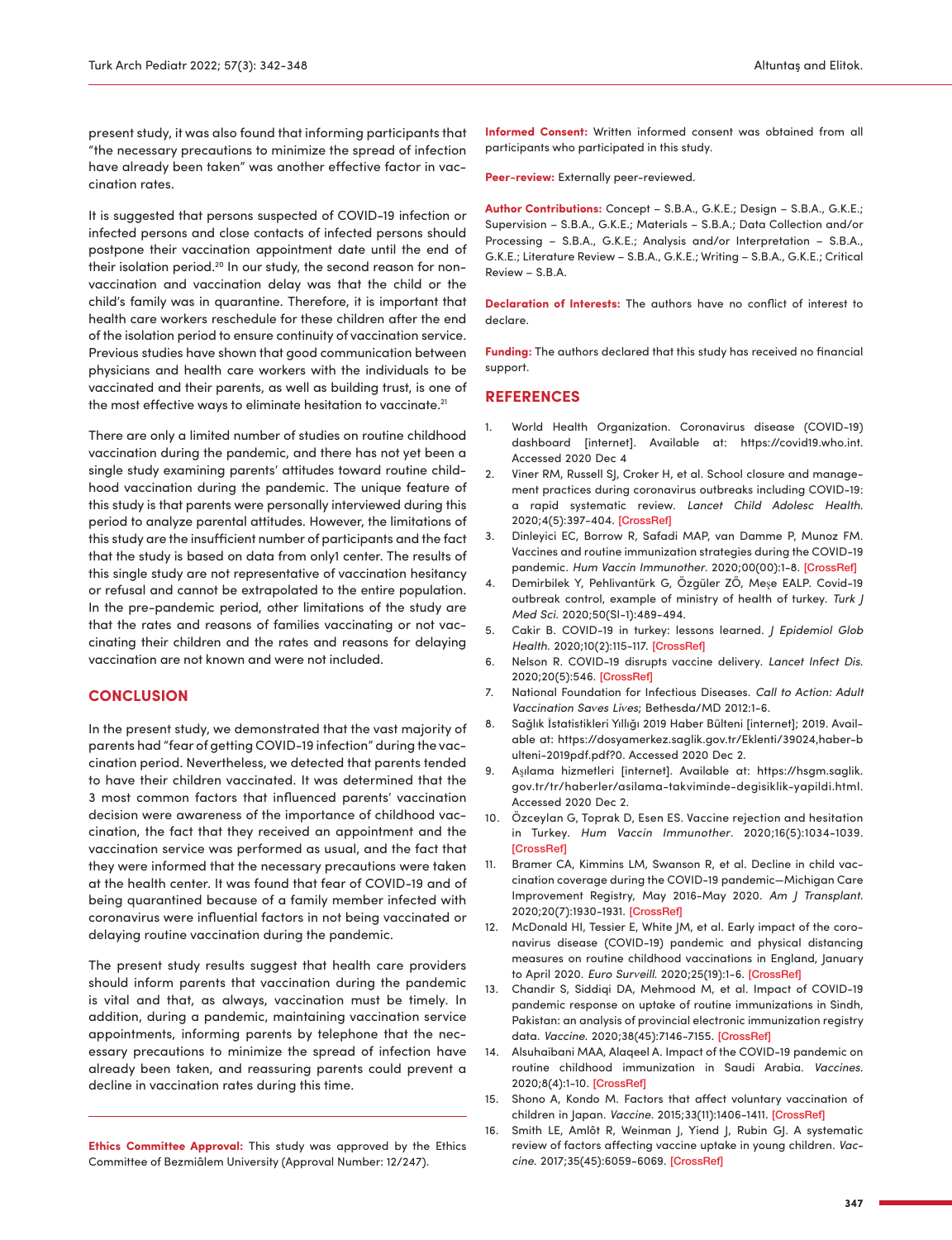present study, it was also found that informing participants that "the necessary precautions to minimize the spread of infection have already been taken" was another effective factor in vaccination rates.

It is suggested that persons suspected of COVID-19 infection or infected persons and close contacts of infected persons should postpone their vaccination appointment date until the end of their isolation period.<sup>[20](#page-6-3)</sup> In our study, the second reason for nonvaccination and vaccination delay was that the child or the child's family was in quarantine. Therefore, it is important that health care workers reschedule for these children after the end of the isolation period to ensure continuity of vaccination service. Previous studies have shown that good communication between physicians and health care workers with the individuals to be vaccinated and their parents, as well as building trust, is one of the most effective ways to eliminate hesitation to vaccinate.<sup>21</sup>

There are only a limited number of studies on routine childhood vaccination during the pandemic, and there has not yet been a single study examining parents' attitudes toward routine childhood vaccination during the pandemic. The unique feature of this study is that parents were personally interviewed during this period to analyze parental attitudes. However, the limitations of this study are the insufficient number of participants and the fact that the study is based on data from only1 center. The results of this single study are not representative of vaccination hesitancy or refusal and cannot be extrapolated to the entire population. In the pre-pandemic period, other limitations of the study are that the rates and reasons of families vaccinating or not vaccinating their children and the rates and reasons for delaying vaccination are not known and were not included.

## **CONCLUSION**

In the present study, we demonstrated that the vast majority of parents had "fear of getting COVID-19 infection" during the vaccination period. Nevertheless, we detected that parents tended to have their children vaccinated. It was determined that the 3 most common factors that influenced parents' vaccination decision were awareness of the importance of childhood vaccination, the fact that they received an appointment and the vaccination service was performed as usual, and the fact that they were informed that the necessary precautions were taken at the health center. It was found that fear of COVID-19 and of being quarantined because of a family member infected with coronavirus were influential factors in not being vaccinated or delaying routine vaccination during the pandemic.

The present study results suggest that health care providers should inform parents that vaccination during the pandemic is vital and that, as always, vaccination must be timely. In addition, during a pandemic, maintaining vaccination service appointments, informing parents by telephone that the necessary precautions to minimize the spread of infection have already been taken, and reassuring parents could prevent a decline in vaccination rates during this time.

**Ethics Committee Approval:** This study was approved by the Ethics Committee of Bezmiâlem University (Approval Number: 12/247).

**Informed Consent:** Written informed consent was obtained from all participants who participated in this study.

**Peer-review:** Externally peer-reviewed.

**Author Contributions:** Concept – S.B.A., G.K.E.; Design – S.B.A., G.K.E.; Supervision – S.B.A., G.K.E.; Materials – S.B.A.; Data Collection and/or Processing – S.B.A., G.K.E.; Analysis and/or Interpretation – S.B.A., G.K.E.; Literature Review – S.B.A., G.K.E.; Writing – S.B.A., G.K.E.; Critical Review – S.B.A.

**Declaration of Interests:** The authors have no conflict of interest to declare.

**Funding:** The authors declared that this study has received no financial support.

#### **REFERENCES**

- <span id="page-5-0"></span>1. World Health Organization. Coronavirus disease (COVID-19) dashboard [internet]. Available at: [https://covid19.who.int.](https://covid19.who.int) Accessed 2020 Dec 4
- <span id="page-5-1"></span>2. Viner RM, Russell SJ, Croker H, et al. School closure and management practices during coronavirus outbreaks including COVID-19: a rapid systematic review. *Lancet Child Adolesc Health*. 2020;4(5):397-404. [\[CrossRef\]](https://doi.org/10.1016/S2352-4642(20)30095-X)
- <span id="page-5-2"></span>3. Dinleyici EC, Borrow R, Safadi MAP, van Damme P, Munoz FM. Vaccines and routine immunization strategies during the COVID-19 pandemic. *Hum Vaccin Immunother*. 2020;00(00):1-8. [\[CrossRef\]](https://doi.org/10.1080/21645515.2020.1804776)
- <span id="page-5-3"></span>4. Demirbilek Y, Pehlivantürk G, Özgüler ZÖ, Meşe EALP. Covid-19 outbreak control, example of ministry of health of turkey. *Turk J Med Sci*. 2020;50(SI-1):489-494.
- <span id="page-5-4"></span>5. Cakir B. COVID-19 in turkey: lessons learned. *J Epidemiol Glob Health*. 2020;10(2):115-117. [\[CrossRef\]](https://doi.org/10.2991/jegh.k.200520.001)
- <span id="page-5-5"></span>6. Nelson R. COVID-19 disrupts vaccine delivery. *Lancet Infect Dis*. 2020;20(5):546. [\[CrossRef\]](https://doi.org/10.1016/S1473-3099(20)30304-2)
- <span id="page-5-6"></span>7. National Foundation for Infectious Diseases. *Call to Action: Adult Vaccination Saves Lives*; Bethesda/MD 2012:1-6.
- <span id="page-5-7"></span>8. Sağlık İstatistikleri Yıllığı 2019 Haber Bülteni [internet]; 2019. Available at: [https://dosyamerkez.saglik.gov.tr/Eklenti/39024,haber-b](https://dosyamerkez.saglik.gov.tr/Eklenti/39024,haber-bulteni-2019pdf.pdf?0) [ulteni-2019pdf.pdf?0.](https://dosyamerkez.saglik.gov.tr/Eklenti/39024,haber-bulteni-2019pdf.pdf?0) Accessed 2020 Dec 2.
- <span id="page-5-8"></span>9. Aşılama hizmetleri [internet]. Available at: [https://hsgm.saglik.](https://hsgm.saglik.gov.tr/tr/haberler/asilama-takviminde-degisiklik-yapildi.html) [gov.tr/tr/haberler/asilama-takviminde-degisiklik-yapildi.html.](https://hsgm.saglik.gov.tr/tr/haberler/asilama-takviminde-degisiklik-yapildi.html) Accessed 2020 Dec 2.
- <span id="page-5-9"></span>10. Özceylan G, Toprak D, Esen ES. Vaccine rejection and hesitation in Turkey. *Hum Vaccin Immunother*. 2020;16(5):1034-1039. **[\[CrossRef\]](https://doi.org/10.1080/21645515.2020.1717182)**
- <span id="page-5-10"></span>11. Bramer CA, Kimmins LM, Swanson R, et al. Decline in child vaccination coverage during the COVID-19 pandemic—Michigan Care Improvement Registry, May 2016-May 2020. *Am J Transplant*. 2020;20(7):1930-1931. [\[CrossRef\]](https://doi.org/10.1111/ajt.16112)
- <span id="page-5-11"></span>12. McDonald HI, Tessier E, White JM, et al. Early impact of the coronavirus disease (COVID-19) pandemic and physical distancing measures on routine childhood vaccinations in England, January to April 2020. *Euro Surveill*. 2020;25(19):1-6. [\[CrossRef\]](https://doi.org/10.2807/1560-7917.ES.2020.25.19.2000848)
- <span id="page-5-12"></span>13. Chandir S, Siddiqi DA, Mehmood M, et al. Impact of COVID-19 pandemic response on uptake of routine immunizations in Sindh, Pakistan: an analysis of provincial electronic immunization registry data. *Vaccine*. 2020;38(45):7146-7155. [\[CrossRef\]](https://doi.org/10.1016/j.vaccine.2020.08.019)
- <span id="page-5-13"></span>14. Alsuhaibani MAA, Alaqeel A. Impact of the COVID-19 pandemic on routine childhood immunization in Saudi Arabia. *Vaccines*. 2020;8(4):1-10. [\[CrossRef\]](https://doi.org/10.3390/vaccines8040581)
- <span id="page-5-14"></span>15. Shono A, Kondo M. Factors that affect voluntary vaccination of children in Japan. *Vaccine*. 2015;33(11):1406-1411. [\[CrossRef\]](https://doi.org/10.1016/j.vaccine.2014.12.014)
- 16. Smith LE, Amlôt R, Weinman J, Yiend J, Rubin GJ. A systematic review of factors affecting vaccine uptake in young children. *Vaccine*. 2017;35(45):6059-6069. [\[CrossRef\]](https://doi.org/10.1016/j.vaccine.2017.09.046)